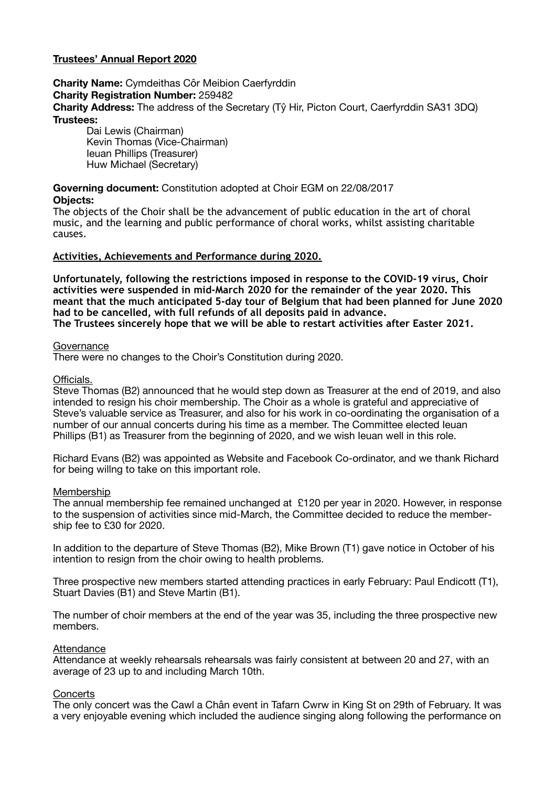# **Trustees' Annual Report 2020**

**Charity Name:** Cymdeithas Côr Meibion Caerfyrddin **Charity Registration Number:** 259482 **Charity Address:** The address of the Secretary (Tŷ Hir, Picton Court, Caerfyrddin SA31 3DQ) **Trustees:** 

Dai Lewis (Chairman) Kevin Thomas (Vice-Chairman) Ieuan Phillips (Treasurer) Huw Michael (Secretary)

# **Governing document:** Constitution adopted at Choir EGM on 22/08/2017

## **Objects:**

The objects of the Choir shall be the advancement of public education in the art of choral music, and the learning and public performance of choral works, whilst assisting charitable causes.

## **Activities, Achievements and Performance during 2020.**

**Unfortunately, following the restrictions imposed in response to the COVID-19 virus, Choir activities were suspended in mid-March 2020 for the remainder of the year 2020. This meant that the much anticipated 5-day tour of Belgium that had been planned for June 2020 had to be cancelled, with full refunds of all deposits paid in advance. The Trustees sincerely hope that we will be able to restart activities after Easter 2021.** 

#### **Governance**

There were no changes to the Choir's Constitution during 2020.

## Officials.

Steve Thomas (B2) announced that he would step down as Treasurer at the end of 2019, and also intended to resign his choir membership. The Choir as a whole is grateful and appreciative of Steve's valuable service as Treasurer, and also for his work in co-oordinating the organisation of a number of our annual concerts during his time as a member. The Committee elected Ieuan Phillips (B1) as Treasurer from the beginning of 2020, and we wish Ieuan well in this role.

Richard Evans (B2) was appointed as Website and Facebook Co-ordinator, and we thank Richard for being willng to take on this important role.

## Membership

The annual membership fee remained unchanged at £120 per year in 2020. However, in response to the suspension of activities since mid-March, the Committee decided to reduce the membership fee to £30 for 2020.

In addition to the departure of Steve Thomas (B2), Mike Brown (T1) gave notice in October of his intention to resign from the choir owing to health problems.

Three prospective new members started attending practices in early February: Paul Endicott (T1), Stuart Davies (B1) and Steve Martin (B1).

The number of choir members at the end of the year was 35, including the three prospective new members.

## **Attendance**

Attendance at weekly rehearsals rehearsals was fairly consistent at between 20 and 27, with an average of 23 up to and including March 10th.

## **Concerts**

The only concert was the Cawl a Chân event in Tafarn Cwrw in King St on 29th of February. It was a very enjoyable evening which included the audience singing along following the performance on